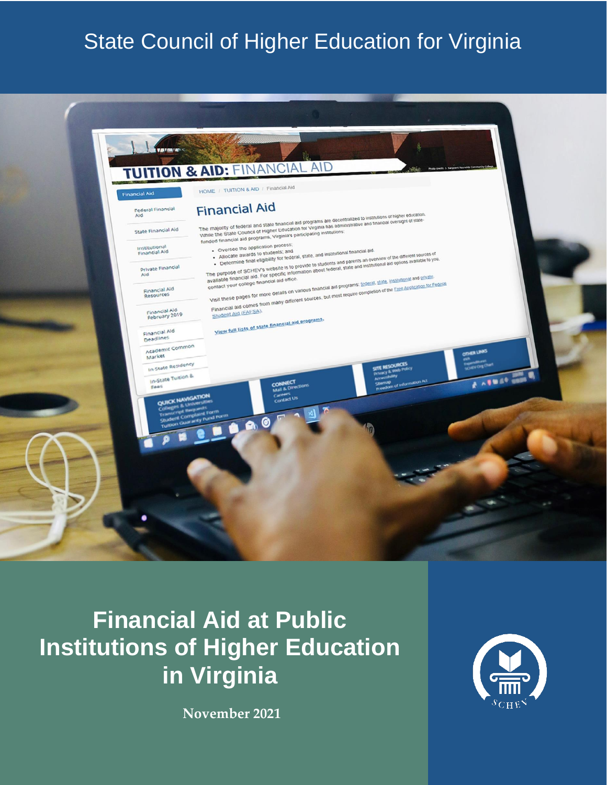# State Council of Higher Education for Virginia



# **Financial Aid at Public Institutions of Higher Education in Virginia**

**November 2021**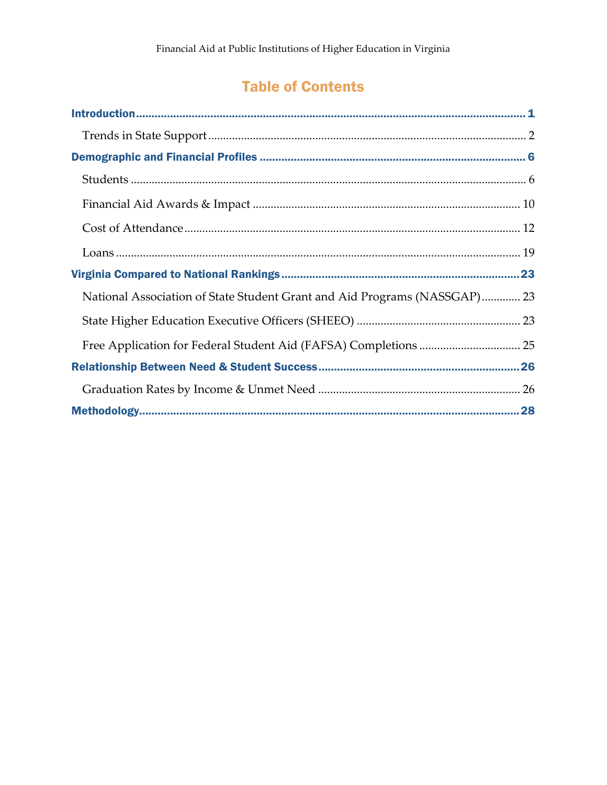## **Table of Contents**

| National Association of State Student Grant and Aid Programs (NASSGAP) 23 |
|---------------------------------------------------------------------------|
|                                                                           |
|                                                                           |
|                                                                           |
|                                                                           |
|                                                                           |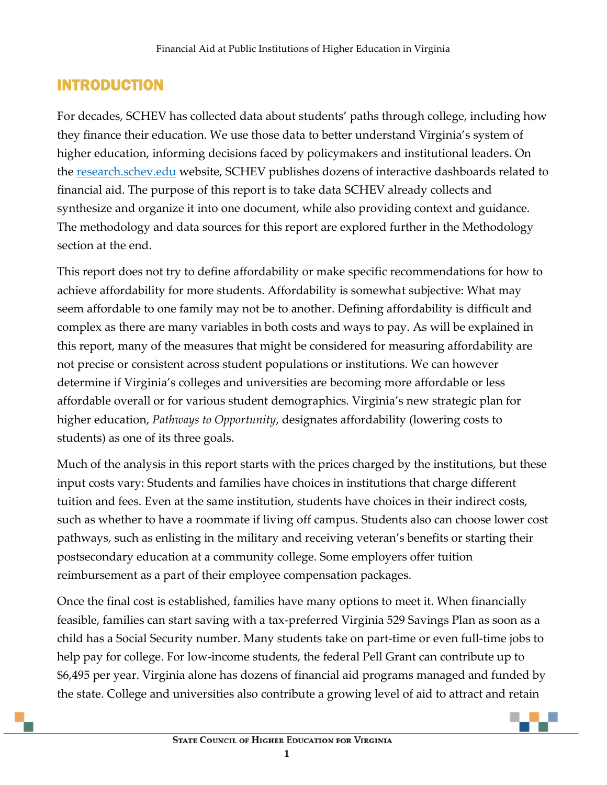## <span id="page-2-0"></span>INTRODUCTION

For decades, SCHEV has collected data about students' paths through college, including how they finance their education. We use those data to better understand Virginia's system of higher education, informing decisions faced by policymakers and institutional leaders. On the [research.schev.edu](https://research.schev.edu/) website, SCHEV publishes dozens of interactive dashboards related to financial aid. The purpose of this report is to take data SCHEV already collects and synthesize and organize it into one document, while also providing context and guidance. The methodology and data sources for this report are explored further in the Methodology section at the end.

This report does not try to define affordability or make specific recommendations for how to achieve affordability for more students. Affordability is somewhat subjective: What may seem affordable to one family may not be to another. Defining affordability is difficult and complex as there are many variables in both costs and ways to pay. As will be explained in this report, many of the measures that might be considered for measuring affordability are not precise or consistent across student populations or institutions. We can however determine if Virginia's colleges and universities are becoming more affordable or less affordable overall or for various student demographics. Virginia's new strategic plan for higher education, *Pathways to Opportunity*, designates affordability (lowering costs to students) as one of its three goals.

Much of the analysis in this report starts with the prices charged by the institutions, but these input costs vary: Students and families have choices in institutions that charge different tuition and fees. Even at the same institution, students have choices in their indirect costs, such as whether to have a roommate if living off campus. Students also can choose lower cost pathways, such as enlisting in the military and receiving veteran's benefits or starting their postsecondary education at a community college. Some employers offer tuition reimbursement as a part of their employee compensation packages.

Once the final cost is established, families have many options to meet it. When financially feasible, families can start saving with a tax-preferred Virginia 529 Savings Plan as soon as a child has a Social Security number. Many students take on part-time or even full-time jobs to help pay for college. For low-income students, the federal Pell Grant can contribute up to \$6,495 per year. Virginia alone has dozens of financial aid programs managed and funded by the state. College and universities also contribute a growing level of aid to attract and retain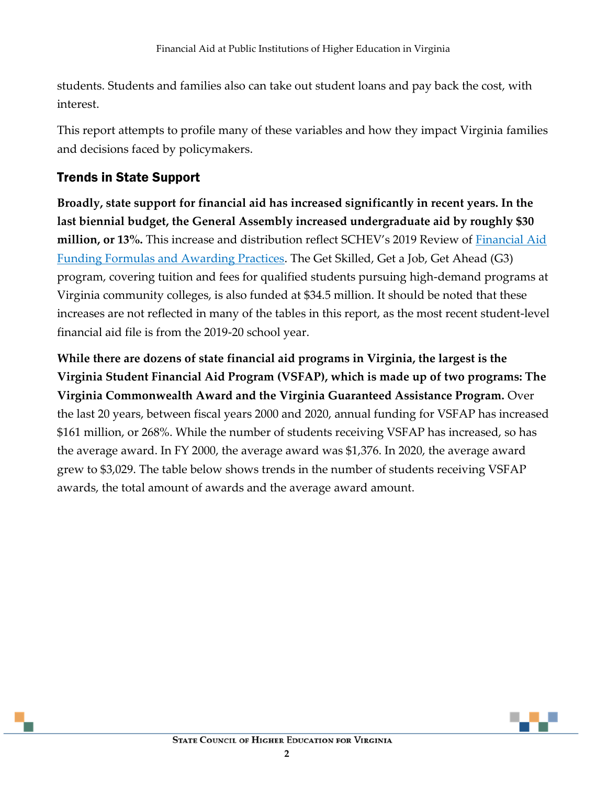students. Students and families also can take out student loans and pay back the cost, with interest.

This report attempts to profile many of these variables and how they impact Virginia families and decisions faced by policymakers.

#### <span id="page-3-0"></span>Trends in State Support

**Broadly, state support for financial aid has increased significantly in recent years. In the last biennial budget, the General Assembly increased undergraduate aid by roughly \$30 million, or 13%.** This increase and distribution reflect SCHEV's 2019 Review of [Financial Aid](https://www.schev.edu/docs/default-source/Reports-and-Studies/2019/financialaidreport102019.pdf)  [Funding Formulas and Awarding Practices.](https://www.schev.edu/docs/default-source/Reports-and-Studies/2019/financialaidreport102019.pdf) The Get Skilled, Get a Job, Get Ahead (G3) program, covering tuition and fees for qualified students pursuing high-demand programs at Virginia community colleges, is also funded at \$34.5 million. It should be noted that these increases are not reflected in many of the tables in this report, as the most recent student-level financial aid file is from the 2019-20 school year.

**While there are dozens of state financial aid programs in Virginia, the largest is the Virginia Student Financial Aid Program (VSFAP), which is made up of two programs: The Virginia Commonwealth Award and the Virginia Guaranteed Assistance Program.** Over the last 20 years, between fiscal years 2000 and 2020, annual funding for VSFAP has increased \$161 million, or 268%. While the number of students receiving VSFAP has increased, so has the average award. In FY 2000, the average award was \$1,376. In 2020, the average award grew to \$3,029. The table below shows trends in the number of students receiving VSFAP awards, the total amount of awards and the average award amount.

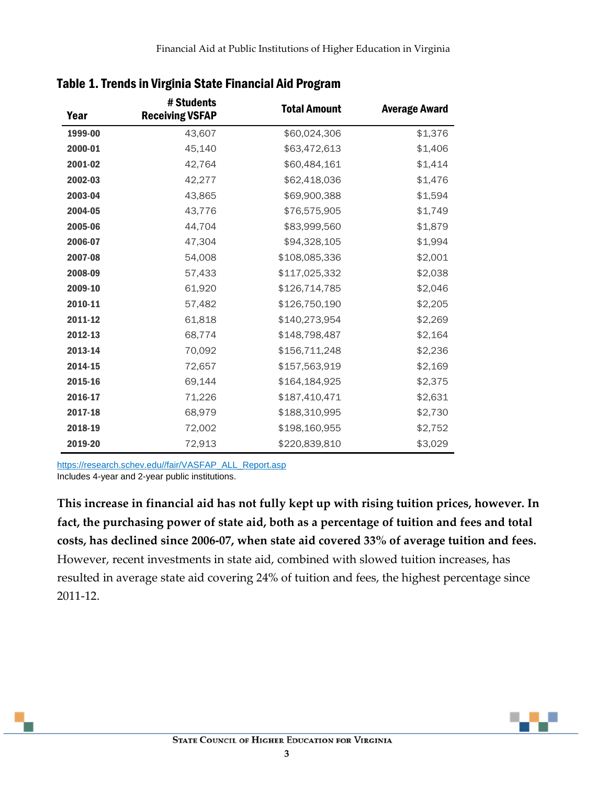| Year    | # Students<br><b>Receiving VSFAP</b> | <b>Total Amount</b> | <b>Average Award</b> |
|---------|--------------------------------------|---------------------|----------------------|
| 1999-00 | 43,607                               | \$60,024,306        | \$1,376              |
| 2000-01 | 45,140                               | \$63,472,613        | \$1,406              |
| 2001-02 | 42,764                               | \$60,484,161        | \$1,414              |
| 2002-03 | 42,277                               | \$62,418,036        | \$1,476              |
| 2003-04 | 43,865                               | \$69,900,388        | \$1,594              |
| 2004-05 | 43,776                               | \$76,575,905        | \$1,749              |
| 2005-06 | 44,704                               | \$83,999,560        | \$1,879              |
| 2006-07 | 47,304                               | \$94,328,105        | \$1,994              |
| 2007-08 | 54,008                               | \$108,085,336       | \$2,001              |
| 2008-09 | 57,433                               | \$117,025,332       | \$2,038              |
| 2009-10 | 61,920                               | \$126,714,785       | \$2,046              |
| 2010-11 | 57,482                               | \$126,750,190       | \$2,205              |
| 2011-12 | 61,818                               | \$140,273,954       | \$2,269              |
| 2012-13 | 68,774                               | \$148,798,487       | \$2,164              |
| 2013-14 | 70,092                               | \$156,711,248       | \$2,236              |
| 2014-15 | 72,657                               | \$157,563,919       | \$2,169              |
| 2015-16 | 69,144                               | \$164,184,925       | \$2,375              |
| 2016-17 | 71,226                               | \$187,410,471       | \$2,631              |
| 2017-18 | 68,979                               | \$188,310,995       | \$2,730              |
| 2018-19 | 72,002                               | \$198,160,955       | \$2,752              |
| 2019-20 | 72,913                               | \$220,839,810       | \$3,029              |

#### Table 1. Trends in Virginia State Financial Aid Program

[https://research.schev.edu//fair/VASFAP\\_ALL\\_Report.asp](https://research.schev.edu/fair/VASFAP_ALL_Report.asp)

Includes 4-year and 2-year public institutions.

**This increase in financial aid has not fully kept up with rising tuition prices, however. In fact, the purchasing power of state aid, both as a percentage of tuition and fees and total costs, has declined since 2006-07, when state aid covered 33% of average tuition and fees.** However, recent investments in state aid, combined with slowed tuition increases, has resulted in average state aid covering 24% of tuition and fees, the highest percentage since 2011-12.

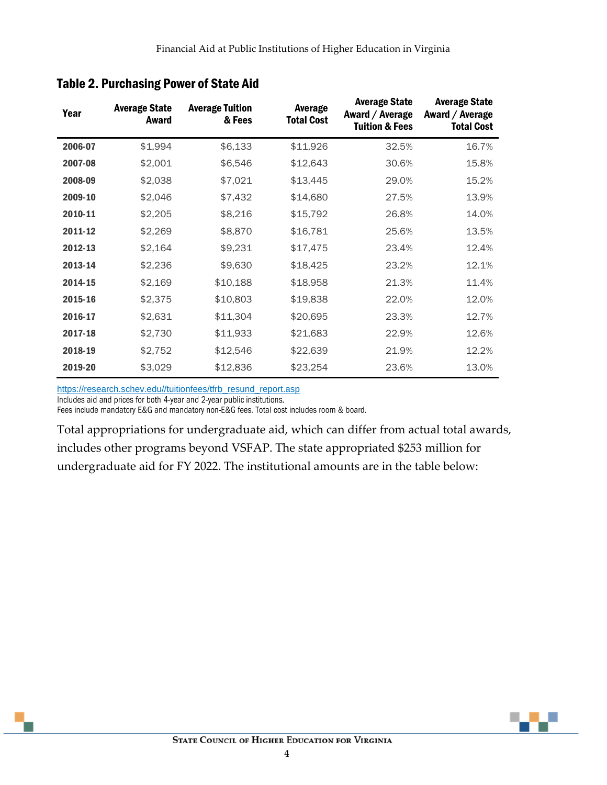| Year    | <b>Average State</b><br>Award | <b>Average Tuition</b><br>& Fees | Average<br><b>Total Cost</b> | <b>Average State</b><br>Award / Average<br><b>Tuition &amp; Fees</b> | <b>Average State</b><br>Award / Average<br><b>Total Cost</b> |
|---------|-------------------------------|----------------------------------|------------------------------|----------------------------------------------------------------------|--------------------------------------------------------------|
| 2006-07 | \$1,994                       | \$6,133                          | \$11,926                     | 32.5%                                                                | 16.7%                                                        |
| 2007-08 | \$2,001                       | \$6,546                          | \$12,643                     | 30.6%                                                                | 15.8%                                                        |
| 2008-09 | \$2,038                       | \$7,021                          | \$13,445                     | 29.0%                                                                | 15.2%                                                        |
| 2009-10 | \$2,046                       | \$7,432                          | \$14,680                     | 27.5%                                                                | 13.9%                                                        |
| 2010-11 | \$2,205                       | \$8,216                          | \$15,792                     | 26.8%                                                                | 14.0%                                                        |
| 2011-12 | \$2,269                       | \$8,870                          | \$16,781                     | 25.6%                                                                | 13.5%                                                        |
| 2012-13 | \$2,164                       | \$9,231                          | \$17,475                     | 23.4%                                                                | 12.4%                                                        |
| 2013-14 | \$2,236                       | \$9,630                          | \$18,425                     | 23.2%                                                                | 12.1%                                                        |
| 2014-15 | \$2,169                       | \$10,188                         | \$18,958                     | 21.3%                                                                | 11.4%                                                        |
| 2015-16 | \$2,375                       | \$10,803                         | \$19,838                     | 22.0%                                                                | 12.0%                                                        |
| 2016-17 | \$2,631                       | \$11,304                         | \$20,695                     | 23.3%                                                                | 12.7%                                                        |
| 2017-18 | \$2,730                       | \$11,933                         | \$21,683                     | 22.9%                                                                | 12.6%                                                        |
| 2018-19 | \$2,752                       | \$12,546                         | \$22,639                     | 21.9%                                                                | 12.2%                                                        |
| 2019-20 | \$3,029                       | \$12,836                         | \$23,254                     | 23.6%                                                                | 13.0%                                                        |

#### Table 2. Purchasing Power of State Aid

[https://research.schev.edu//tuitionfees/tfrb\\_resund\\_report.asp](https://research.schev.edu/tuitionfees/tfrb_resund_report.asp)<br>Includes aid and prices for both 4-year and 2-year public institutions.

Fees include mandatory E&G and mandatory non-E&G fees. Total cost includes room & board.

Total appropriations for undergraduate aid, which can differ from actual total awards, includes other programs beyond VSFAP. The state appropriated \$253 million for undergraduate aid for FY 2022. The institutional amounts are in the table below:

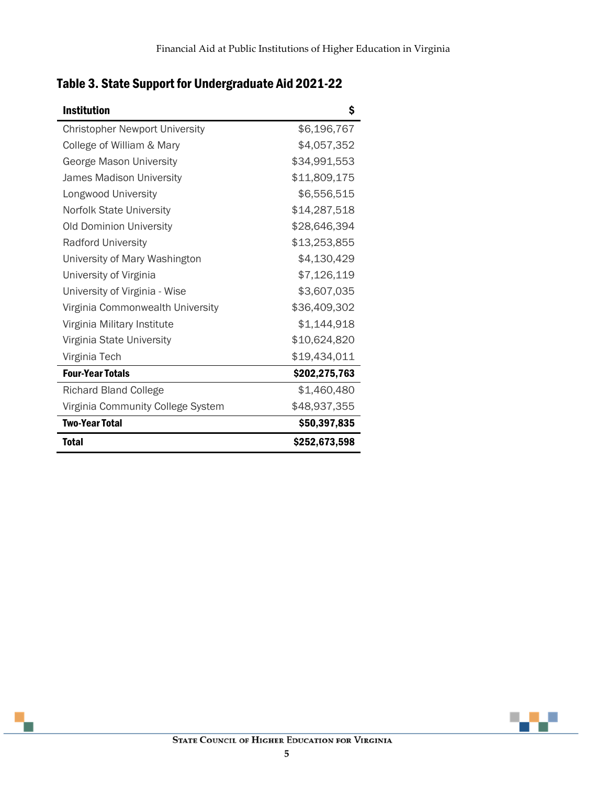| <b>Institution</b>                    | \$            |
|---------------------------------------|---------------|
| <b>Christopher Newport University</b> | \$6,196,767   |
| College of William & Mary             | \$4,057,352   |
| George Mason University               | \$34,991,553  |
| James Madison University              | \$11,809,175  |
| Longwood University                   | \$6,556,515   |
| <b>Norfolk State University</b>       | \$14,287,518  |
| <b>Old Dominion University</b>        | \$28,646,394  |
| <b>Radford University</b>             | \$13,253,855  |
| University of Mary Washington         | \$4,130,429   |
| University of Virginia                | \$7,126,119   |
| University of Virginia - Wise         | \$3,607,035   |
| Virginia Commonwealth University      | \$36,409,302  |
| Virginia Military Institute           | \$1,144,918   |
| Virginia State University             | \$10,624,820  |
| Virginia Tech                         | \$19,434,011  |
| <b>Four-Year Totals</b>               | \$202,275,763 |
| <b>Richard Bland College</b>          | \$1,460,480   |
| Virginia Community College System     | \$48,937,355  |
| <b>Two-Year Total</b>                 | \$50,397,835  |
| <b>Total</b>                          | \$252,673,598 |

## Table 3. State Support for Undergraduate Aid 2021-22

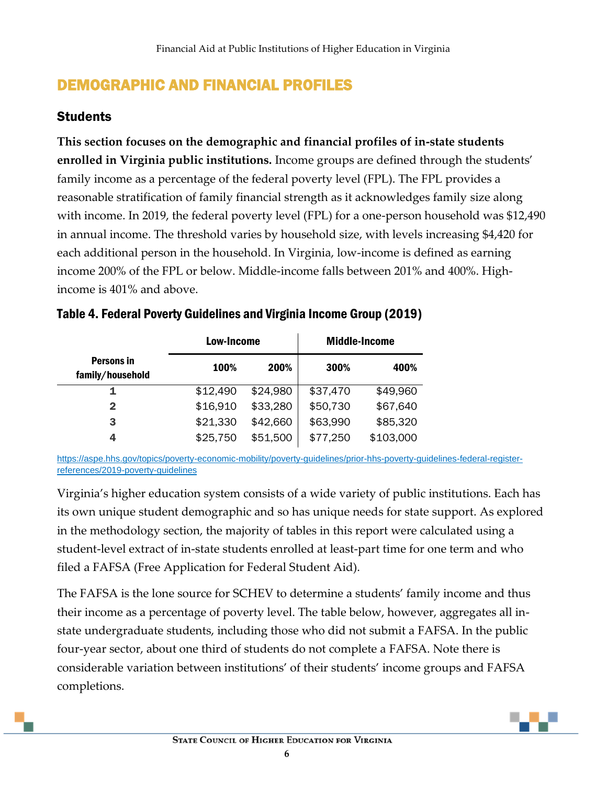## <span id="page-7-0"></span>DEMOGRAPHIC AND FINANCIAL PROFILES

#### <span id="page-7-1"></span>**Students**

**This section focuses on the demographic and financial profiles of in-state students enrolled in Virginia public institutions.** Income groups are defined through the students' family income as a percentage of the federal poverty level (FPL). The FPL provides a reasonable stratification of family financial strength as it acknowledges family size along with income. In 2019, the federal poverty level (FPL) for a one-person household was \$12,490 in annual income. The threshold varies by household size, with levels increasing \$4,420 for each additional person in the household. In Virginia, low-income is defined as earning income 200% of the FPL or below. Middle-income falls between 201% and 400%. Highincome is 401% and above.

|                                       | <b>Low-Income</b> |          |          | <b>Middle-Income</b> |
|---------------------------------------|-------------------|----------|----------|----------------------|
| <b>Persons in</b><br>family/household | 100%              | 200%     | 300%     | 400%                 |
| 1                                     | \$12,490          | \$24,980 | \$37,470 | \$49,960             |
| 2                                     | \$16,910          | \$33,280 | \$50,730 | \$67,640             |
| 3                                     | \$21,330          | \$42,660 | \$63,990 | \$85,320             |
| 4                                     | \$25,750          | \$51,500 | \$77,250 | \$103,000            |

#### Table 4. Federal Poverty Guidelines and Virginia Income Group (2019)

[https://aspe.hhs.gov/topics/poverty-economic-mobility/poverty-guidelines/prior-hhs-poverty-guidelines-federal-register](https://aspe.hhs.gov/topics/poverty-economic-mobility/poverty-guidelines/prior-hhs-poverty-guidelines-federal-register-references/2019-poverty-guidelines)[references/2019-poverty-guidelines](https://aspe.hhs.gov/topics/poverty-economic-mobility/poverty-guidelines/prior-hhs-poverty-guidelines-federal-register-references/2019-poverty-guidelines)

Virginia's higher education system consists of a wide variety of public institutions. Each has its own unique student demographic and so has unique needs for state support. As explored in the methodology section, the majority of tables in this report were calculated using a student-level extract of in-state students enrolled at least-part time for one term and who filed a FAFSA (Free Application for Federal Student Aid).

The FAFSA is the lone source for SCHEV to determine a students' family income and thus their income as a percentage of poverty level. The table below, however, aggregates all instate undergraduate students, including those who did not submit a FAFSA. In the public four-year sector, about one third of students do not complete a FAFSA. Note there is considerable variation between institutions' of their students' income groups and FAFSA completions.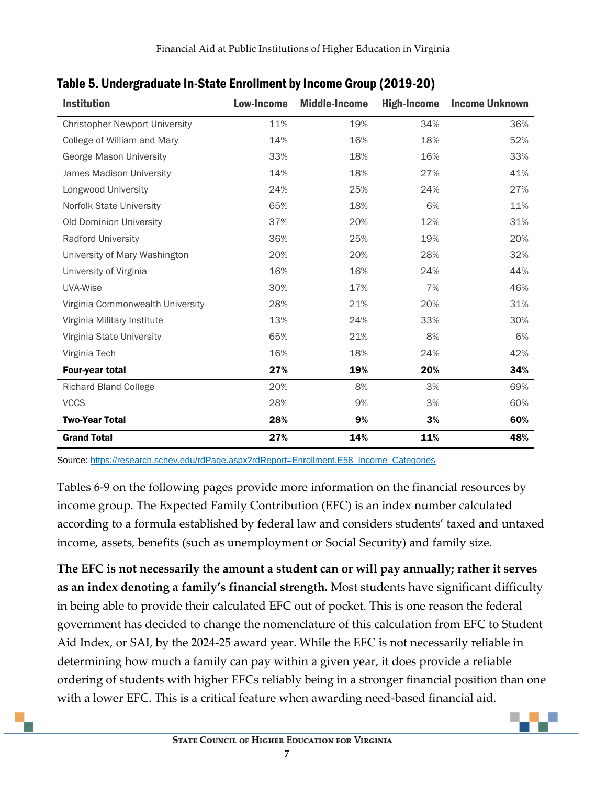| <b>Institution</b>                    | Low-Income | <b>Middle-Income</b> | <b>High-Income</b> | <b>Income Unknown</b> |
|---------------------------------------|------------|----------------------|--------------------|-----------------------|
| <b>Christopher Newport University</b> | 11%        | 19%                  | 34%                | 36%                   |
| College of William and Mary           | 14%        | 16%                  | 18%                | 52%                   |
| George Mason University               | 33%        | 18%                  | 16%                | 33%                   |
| James Madison University              | 14%        | 18%                  | 27%                | 41%                   |
| Longwood University                   | 24%        | 25%                  | 24%                | 27%                   |
| Norfolk State University              | 65%        | 18%                  | 6%                 | 11%                   |
| Old Dominion University               | 37%        | 20%                  | 12%                | 31%                   |
| <b>Radford University</b>             | 36%        | 25%                  | 19%                | 20%                   |
| University of Mary Washington         | 20%        | 20%                  | 28%                | 32%                   |
| University of Virginia                | 16%        | 16%                  | 24%                | 44%                   |
| <b>UVA-Wise</b>                       | 30%        | 17%                  | 7%                 | 46%                   |
| Virginia Commonwealth University      | 28%        | 21%                  | 20%                | 31%                   |
| Virginia Military Institute           | 13%        | 24%                  | 33%                | 30%                   |
| Virginia State University             | 65%        | 21%                  | 8%                 | 6%                    |
| Virginia Tech                         | 16%        | 18%                  | 24%                | 42%                   |
| Four-year total                       | 27%        | 19%                  | 20%                | 34%                   |
| <b>Richard Bland College</b>          | 20%        | 8%                   | 3%                 | 69%                   |
| <b>VCCS</b>                           | 28%        | 9%                   | 3%                 | 60%                   |
| <b>Two-Year Total</b>                 | 28%        | 9%                   | 3%                 | 60%                   |
| <b>Grand Total</b>                    | 27%        | 14%                  | 11%                | 48%                   |

### Table 5. Undergraduate In-State Enrollment by Income Group (2019-20)

Source: [https://research.schev.edu/rdPage.aspx?rdReport=Enrollment.E58\\_Income\\_Categories](https://research.schev.edu/rdPage.aspx?rdReport=Enrollment.E58_Income_Categories)

Tables 6-9 on the following pages provide more information on the financial resources by income group. The Expected Family Contribution (EFC) is an index number calculated according to a formula established by federal law and considers students' taxed and untaxed income, assets, benefits (such as unemployment or Social Security) and family size.

**The EFC is not necessarily the amount a student can or will pay annually; rather it serves as an index denoting a family's financial strength.** Most students have significant difficulty in being able to provide their calculated EFC out of pocket. This is one reason the federal government has decided to change the nomenclature of this calculation from EFC to Student Aid Index, or SAI, by the 2024-25 award year. While the EFC is not necessarily reliable in determining how much a family can pay within a given year, it does provide a reliable ordering of students with higher EFCs reliably being in a stronger financial position than one with a lower EFC. This is a critical feature when awarding need-based financial aid.

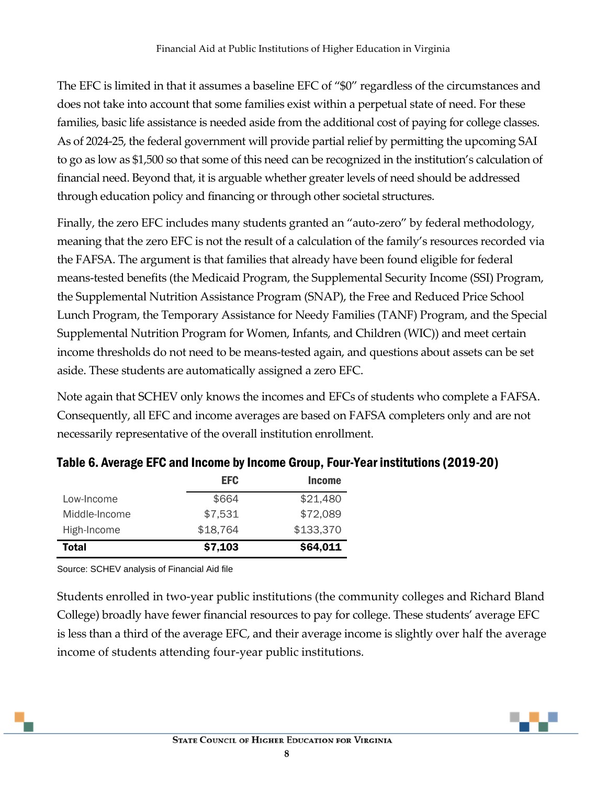The EFC is limited in that it assumes a baseline EFC of "\$0" regardless of the circumstances and does not take into account that some families exist within a perpetual state of need. For these families, basic life assistance is needed aside from the additional cost of paying for college classes. As of 2024-25, the federal government will provide partial relief by permitting the upcoming SAI to go as low as \$1,500 so that some of this need can be recognized in the institution's calculation of financial need. Beyond that, it is arguable whether greater levels of need should be addressed through education policy and financing or through other societal structures.

Finally, the zero EFC includes many students granted an "auto-zero" by federal methodology, meaning that the zero EFC is not the result of a calculation of the family's resources recorded via the FAFSA. The argument is that families that already have been found eligible for federal means-tested benefits (the Medicaid Program, the Supplemental Security Income (SSI) Program, the Supplemental Nutrition Assistance Program (SNAP), the Free and Reduced Price School Lunch Program, the Temporary Assistance for Needy Families (TANF) Program, and the Special Supplemental Nutrition Program for Women, Infants, and Children (WIC)) and meet certain income thresholds do not need to be means-tested again, and questions about assets can be set aside. These students are automatically assigned a zero EFC.

Note again that SCHEV only knows the incomes and EFCs of students who complete a FAFSA. Consequently, all EFC and income averages are based on FAFSA completers only and are not necessarily representative of the overall institution enrollment.

|               | <b>EFC</b> | <b>Income</b> |
|---------------|------------|---------------|
| Low-Income    | \$664      | \$21,480      |
| Middle-Income | \$7,531    | \$72,089      |
| High-Income   | \$18,764   | \$133,370     |
| <b>Total</b>  | \$7,103    | \$64,011      |

### Table 6. Average EFC and Income by Income Group, Four-Year institutions (2019-20)

Source: SCHEV analysis of Financial Aid file

Students enrolled in two-year public institutions (the community colleges and Richard Bland College) broadly have fewer financial resources to pay for college. These students' average EFC is less than a third of the average EFC, and their average income is slightly over half the average income of students attending four-year public institutions.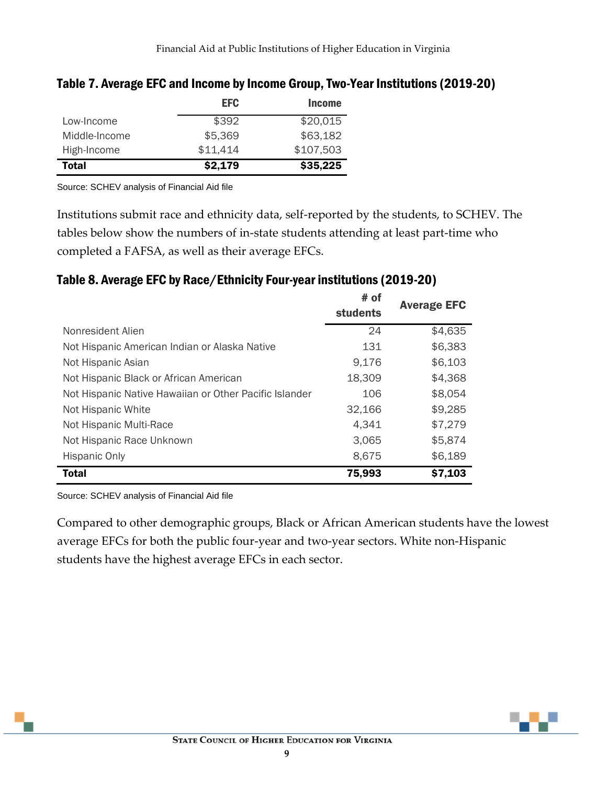|               | <b>EFC</b> | <b>Income</b> |
|---------------|------------|---------------|
| Low-Income    | \$392      | \$20,015      |
| Middle-Income | \$5,369    | \$63,182      |
| High-Income   | \$11,414   | \$107,503     |
| <b>Total</b>  | \$2,179    | \$35,225      |

#### Table 7. Average EFC and Income by Income Group, Two-Year Institutions (2019-20)

Source: SCHEV analysis of Financial Aid file

Institutions submit race and ethnicity data, self-reported by the students, to SCHEV. The tables below show the numbers of in-state students attending at least part-time who completed a FAFSA, as well as their average EFCs.

#### Table 8. Average EFC by Race/Ethnicity Four-year institutions (2019-20)

|                                                        | # of            | <b>Average EFC</b> |
|--------------------------------------------------------|-----------------|--------------------|
|                                                        | <b>students</b> |                    |
| Nonresident Alien                                      | 24              | \$4,635            |
| Not Hispanic American Indian or Alaska Native          | 131             | \$6,383            |
| Not Hispanic Asian                                     | 9,176           | \$6,103            |
| Not Hispanic Black or African American                 | 18,309          | \$4,368            |
| Not Hispanic Native Hawaiian or Other Pacific Islander | 106             | \$8,054            |
| Not Hispanic White                                     | 32,166          | \$9,285            |
| Not Hispanic Multi-Race                                | 4,341           | \$7,279            |
| Not Hispanic Race Unknown                              | 3,065           | \$5,874            |
| <b>Hispanic Only</b>                                   | 8,675           | \$6,189            |
| <b>Total</b>                                           | 75,993          | \$7,103            |

Source: SCHEV analysis of Financial Aid file

Compared to other demographic groups, Black or African American students have the lowest average EFCs for both the public four-year and two-year sectors. White non-Hispanic students have the highest average EFCs in each sector.

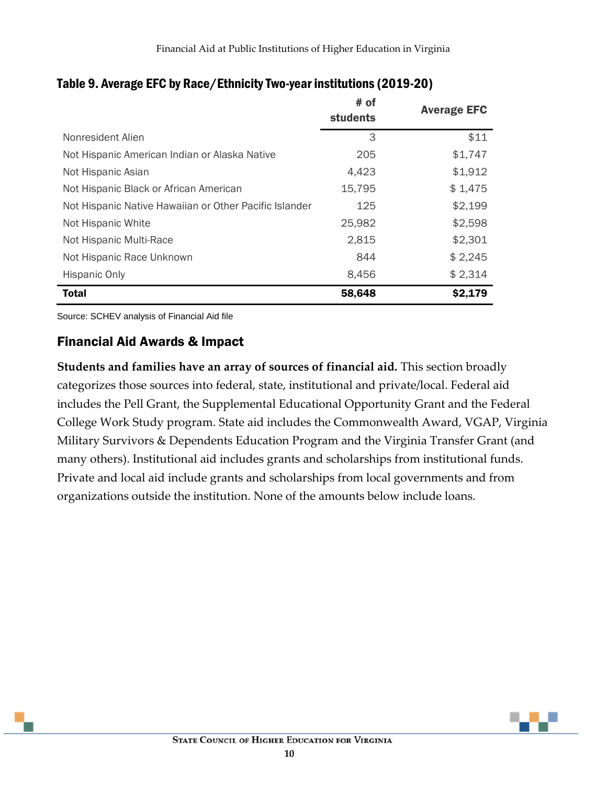|                                                        | # of<br><b>students</b> | <b>Average EFC</b> |
|--------------------------------------------------------|-------------------------|--------------------|
| Nonresident Alien                                      | 3                       | \$11               |
| Not Hispanic American Indian or Alaska Native          | 205                     | \$1,747            |
| Not Hispanic Asian                                     | 4,423                   | \$1,912            |
| Not Hispanic Black or African American                 | 15,795                  | \$1,475            |
| Not Hispanic Native Hawaiian or Other Pacific Islander | 125                     | \$2,199            |
| Not Hispanic White                                     | 25,982                  | \$2,598            |
| Not Hispanic Multi-Race                                | 2,815                   | \$2,301            |
| Not Hispanic Race Unknown                              | 844                     | \$2,245            |
| <b>Hispanic Only</b>                                   | 8,456                   | \$2,314            |
| <b>Total</b>                                           | 58,648                  | \$2,179            |

#### Table 9. Average EFC by Race/Ethnicity Two-year institutions (2019-20)

Source: SCHEV analysis of Financial Aid file

#### <span id="page-11-0"></span>Financial Aid Awards & Impact

**Students and families have an array of sources of financial aid.** This section broadly categorizes those sources into federal, state, institutional and private/local. Federal aid includes the Pell Grant, the Supplemental Educational Opportunity Grant and the Federal College Work Study program. State aid includes the Commonwealth Award, VGAP, Virginia Military Survivors & Dependents Education Program and the Virginia Transfer Grant (and many others). Institutional aid includes grants and scholarships from institutional funds. Private and local aid include grants and scholarships from local governments and from organizations outside the institution. None of the amounts below include loans.

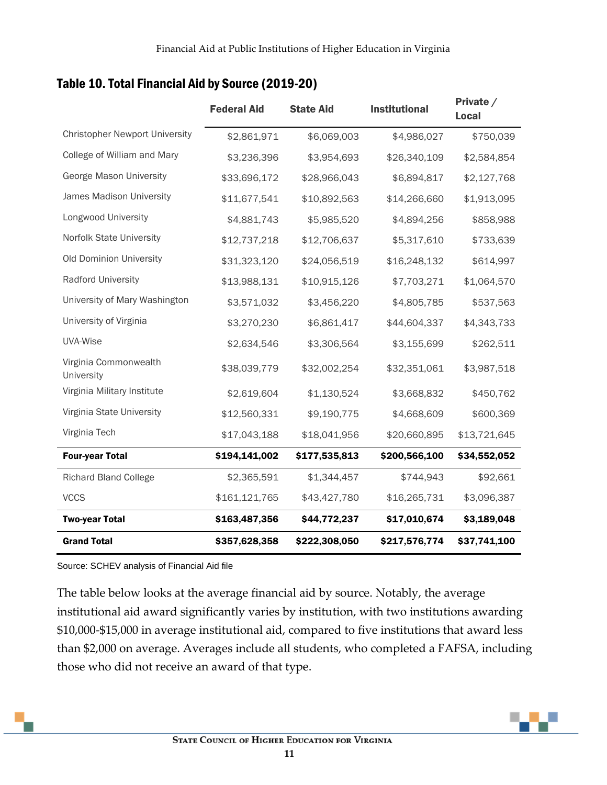|                                       | <b>Federal Aid</b> | <b>State Aid</b> | <b>Institutional</b> | Private /<br><b>Local</b> |
|---------------------------------------|--------------------|------------------|----------------------|---------------------------|
| <b>Christopher Newport University</b> | \$2,861,971        | \$6,069,003      | \$4,986,027          | \$750,039                 |
| College of William and Mary           | \$3,236,396        | \$3,954,693      | \$26,340,109         | \$2,584,854               |
| George Mason University               | \$33,696,172       | \$28,966,043     | \$6,894,817          | \$2,127,768               |
| James Madison University              | \$11,677,541       | \$10,892,563     | \$14,266,660         | \$1,913,095               |
| Longwood University                   | \$4,881,743        | \$5,985,520      | \$4,894,256          | \$858,988                 |
| Norfolk State University              | \$12,737,218       | \$12,706,637     | \$5,317,610          | \$733,639                 |
| Old Dominion University               | \$31,323,120       | \$24,056,519     | \$16,248,132         | \$614,997                 |
| Radford University                    | \$13,988,131       | \$10,915,126     | \$7,703,271          | \$1,064,570               |
| University of Mary Washington         | \$3,571,032        | \$3,456,220      | \$4,805,785          | \$537,563                 |
| University of Virginia                | \$3,270,230        | \$6,861,417      | \$44,604,337         | \$4,343,733               |
| UVA-Wise                              | \$2,634,546        | \$3,306,564      | \$3,155,699          | \$262,511                 |
| Virginia Commonwealth<br>University   | \$38,039,779       | \$32,002,254     | \$32,351,061         | \$3,987,518               |
| Virginia Military Institute           | \$2,619,604        | \$1,130,524      | \$3,668,832          | \$450,762                 |
| Virginia State University             | \$12,560,331       | \$9,190,775      | \$4,668,609          | \$600,369                 |
| Virginia Tech                         | \$17,043,188       | \$18,041,956     | \$20,660,895         | \$13,721,645              |
| <b>Four-year Total</b>                | \$194,141,002      | \$177,535,813    | \$200,566,100        | \$34,552,052              |
| <b>Richard Bland College</b>          | \$2,365,591        | \$1,344,457      | \$744,943            | \$92,661                  |
| <b>VCCS</b>                           | \$161,121,765      | \$43,427,780     | \$16,265,731         | \$3,096,387               |
| <b>Two-year Total</b>                 | \$163,487,356      | \$44,772,237     | \$17,010,674         | \$3,189,048               |
| <b>Grand Total</b>                    | \$357,628,358      | \$222,308,050    | \$217,576,774        | \$37,741,100              |

#### Table 10. Total Financial Aid by Source (2019-20)

Source: SCHEV analysis of Financial Aid file

The table below looks at the average financial aid by source. Notably, the average institutional aid award significantly varies by institution, with two institutions awarding \$10,000-\$15,000 in average institutional aid, compared to five institutions that award less than \$2,000 on average. Averages include all students, who completed a FAFSA, including those who did not receive an award of that type.

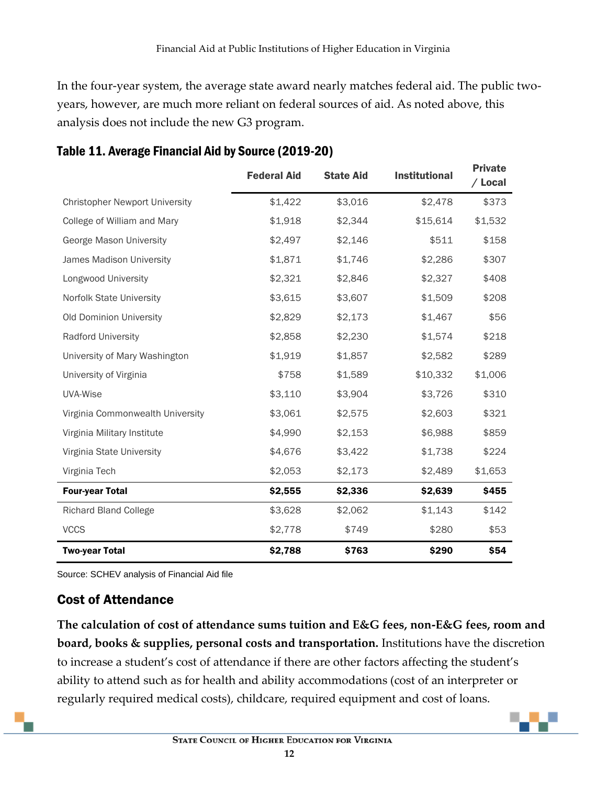In the four-year system, the average state award nearly matches federal aid. The public twoyears, however, are much more reliant on federal sources of aid. As noted above, this analysis does not include the new G3 program.

|                                       | <b>Federal Aid</b> | <b>State Aid</b> | <b>Institutional</b> | <b>Private</b><br>/ Local |
|---------------------------------------|--------------------|------------------|----------------------|---------------------------|
| <b>Christopher Newport University</b> | \$1,422            | \$3,016          | \$2,478              | \$373                     |
| College of William and Mary           | \$1,918            | \$2,344          | \$15,614             | \$1,532                   |
| George Mason University               | \$2,497            | \$2,146          | \$511                | \$158                     |
| James Madison University              | \$1,871            | \$1,746          | \$2,286              | \$307                     |
| Longwood University                   | \$2,321            | \$2,846          | \$2,327              | \$408                     |
| Norfolk State University              | \$3,615            | \$3,607          | \$1,509              | \$208                     |
| Old Dominion University               | \$2,829            | \$2,173          | \$1,467              | \$56                      |
| Radford University                    | \$2,858            | \$2,230          | \$1,574              | \$218                     |
| University of Mary Washington         | \$1,919            | \$1,857          | \$2,582              | \$289                     |
| University of Virginia                | \$758              | \$1,589          | \$10,332             | \$1,006                   |
| UVA-Wise                              | \$3,110            | \$3,904          | \$3,726              | \$310                     |
| Virginia Commonwealth University      | \$3,061            | \$2,575          | \$2,603              | \$321                     |
| Virginia Military Institute           | \$4,990            | \$2,153          | \$6,988              | \$859                     |
| Virginia State University             | \$4,676            | \$3,422          | \$1,738              | \$224                     |
| Virginia Tech                         | \$2,053            | \$2,173          | \$2,489              | \$1,653                   |
| <b>Four-year Total</b>                | \$2,555            | \$2,336          | \$2,639              | \$455                     |
| <b>Richard Bland College</b>          | \$3,628            | \$2,062          | \$1,143              | \$142                     |
| <b>VCCS</b>                           | \$2,778            | \$749            | \$280                | \$53                      |
| <b>Two-year Total</b>                 | \$2,788            | \$763            | \$290                | \$54                      |

### Table 11. Average Financial Aid by Source (2019-20)

Source: SCHEV analysis of Financial Aid file

#### <span id="page-13-0"></span>Cost of Attendance

**The calculation of cost of attendance sums tuition and E&G fees, non-E&G fees, room and board, books & supplies, personal costs and transportation.** Institutions have the discretion to increase a student's cost of attendance if there are other factors affecting the student's ability to attend such as for health and ability accommodations (cost of an interpreter or regularly required medical costs), childcare, required equipment and cost of loans.

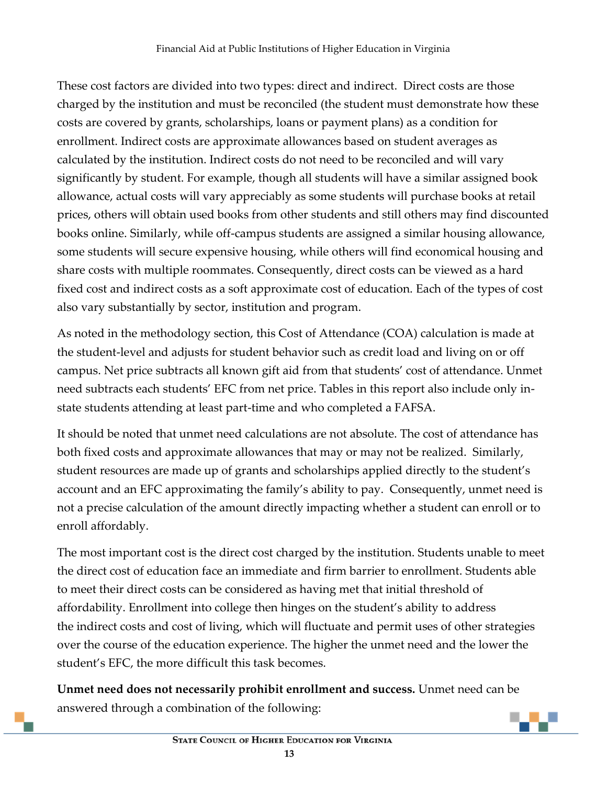These cost factors are divided into two types: direct and indirect. Direct costs are those charged by the institution and must be reconciled (the student must demonstrate how these costs are covered by grants, scholarships, loans or payment plans) as a condition for enrollment. Indirect costs are approximate allowances based on student averages as calculated by the institution. Indirect costs do not need to be reconciled and will vary significantly by student. For example, though all students will have a similar assigned book allowance, actual costs will vary appreciably as some students will purchase books at retail prices, others will obtain used books from other students and still others may find discounted books online. Similarly, while off-campus students are assigned a similar housing allowance, some students will secure expensive housing, while others will find economical housing and share costs with multiple roommates. Consequently, direct costs can be viewed as a hard fixed cost and indirect costs as a soft approximate cost of education. Each of the types of cost also vary substantially by sector, institution and program.

As noted in the methodology section, this Cost of Attendance (COA) calculation is made at the student-level and adjusts for student behavior such as credit load and living on or off campus. Net price subtracts all known gift aid from that students' cost of attendance. Unmet need subtracts each students' EFC from net price. Tables in this report also include only instate students attending at least part-time and who completed a FAFSA.

It should be noted that unmet need calculations are not absolute. The cost of attendance has both fixed costs and approximate allowances that may or may not be realized. Similarly, student resources are made up of grants and scholarships applied directly to the student's account and an EFC approximating the family's ability to pay. Consequently, unmet need is not a precise calculation of the amount directly impacting whether a student can enroll or to enroll affordably.

The most important cost is the direct cost charged by the institution. Students unable to meet the direct cost of education face an immediate and firm barrier to enrollment. Students able to meet their direct costs can be considered as having met that initial threshold of affordability. Enrollment into college then hinges on the student's ability to address the indirect costs and cost of living, which will fluctuate and permit uses of other strategies over the course of the education experience. The higher the unmet need and the lower the student's EFC, the more difficult this task becomes.

**Unmet need does not necessarily prohibit enrollment and success.** Unmet need can be answered through a combination of the following: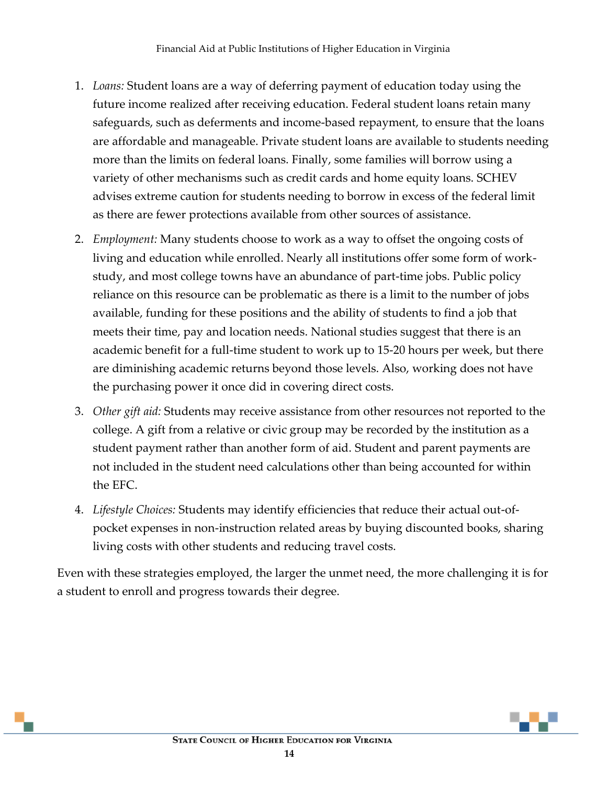- 1. *Loans:* Student loans are a way of deferring payment of education today using the future income realized after receiving education. Federal student loans retain many safeguards, such as deferments and income-based repayment, to ensure that the loans are affordable and manageable. Private student loans are available to students needing more than the limits on federal loans. Finally, some families will borrow using a variety of other mechanisms such as credit cards and home equity loans. SCHEV advises extreme caution for students needing to borrow in excess of the federal limit as there are fewer protections available from other sources of assistance.
- 2. *Employment:* Many students choose to work as a way to offset the ongoing costs of living and education while enrolled. Nearly all institutions offer some form of workstudy, and most college towns have an abundance of part-time jobs. Public policy reliance on this resource can be problematic as there is a limit to the number of jobs available, funding for these positions and the ability of students to find a job that meets their time, pay and location needs. National studies suggest that there is an academic benefit for a full-time student to work up to 15-20 hours per week, but there are diminishing academic returns beyond those levels. Also, working does not have the purchasing power it once did in covering direct costs.
- 3. *Other gift aid:* Students may receive assistance from other resources not reported to the college. A gift from a relative or civic group may be recorded by the institution as a student payment rather than another form of aid. Student and parent payments are not included in the student need calculations other than being accounted for within the EFC.
- 4. *Lifestyle Choices:* Students may identify efficiencies that reduce their actual out-ofpocket expenses in non-instruction related areas by buying discounted books, sharing living costs with other students and reducing travel costs.

Even with these strategies employed, the larger the unmet need, the more challenging it is for a student to enroll and progress towards their degree.

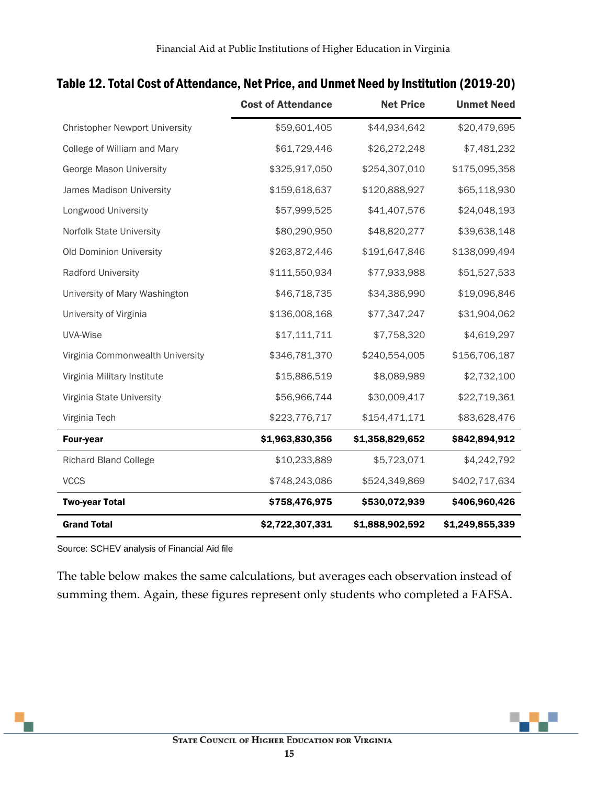|                                       | <b>Cost of Attendance</b> | <b>Net Price</b> | <b>Unmet Need</b> |
|---------------------------------------|---------------------------|------------------|-------------------|
| <b>Christopher Newport University</b> | \$59,601,405              | \$44,934,642     | \$20,479,695      |
| College of William and Mary           | \$61,729,446              | \$26,272,248     | \$7,481,232       |
| George Mason University               | \$325,917,050             | \$254,307,010    | \$175,095,358     |
| James Madison University              | \$159,618,637             | \$120,888,927    | \$65,118,930      |
| Longwood University                   | \$57,999,525              | \$41,407,576     | \$24,048,193      |
| Norfolk State University              | \$80,290,950              | \$48,820,277     | \$39,638,148      |
| Old Dominion University               | \$263,872,446             | \$191,647,846    | \$138,099,494     |
| <b>Radford University</b>             | \$111,550,934             | \$77,933,988     | \$51,527,533      |
| University of Mary Washington         | \$46,718,735              | \$34,386,990     | \$19,096,846      |
| University of Virginia                | \$136,008,168             | \$77,347,247     | \$31,904,062      |
| UVA-Wise                              | \$17,111,711              | \$7,758,320      | \$4,619,297       |
| Virginia Commonwealth University      | \$346,781,370             | \$240,554,005    | \$156,706,187     |
| Virginia Military Institute           | \$15,886,519              | \$8,089,989      | \$2,732,100       |
| Virginia State University             | \$56,966,744              | \$30,009,417     | \$22,719,361      |
| Virginia Tech                         | \$223,776,717             | \$154,471,171    | \$83,628,476      |
| <b>Four-year</b>                      | \$1,963,830,356           | \$1,358,829,652  | \$842,894,912     |
| <b>Richard Bland College</b>          | \$10,233,889              | \$5,723,071      | \$4,242,792       |
| <b>VCCS</b>                           | \$748,243,086             | \$524,349,869    | \$402,717,634     |
| <b>Two-year Total</b>                 | \$758,476,975             | \$530,072,939    | \$406,960,426     |
| <b>Grand Total</b>                    | \$2,722,307,331           | \$1,888,902,592  | \$1,249,855,339   |

#### Table 12. Total Cost of Attendance, Net Price, and Unmet Need by Institution (2019-20)

Source: SCHEV analysis of Financial Aid file

The table below makes the same calculations, but averages each observation instead of summing them. Again, these figures represent only students who completed a FAFSA.

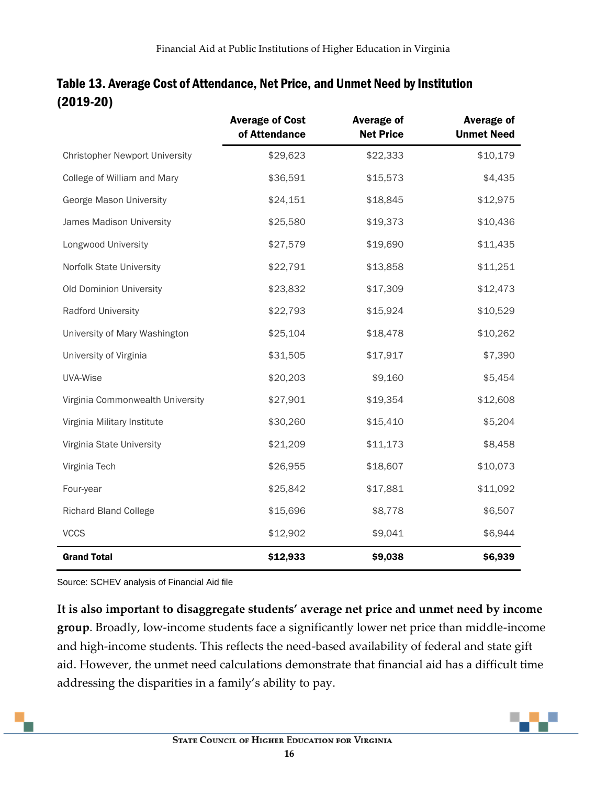|                                       | <b>Average of Cost</b><br>of Attendance | <b>Average of</b><br><b>Net Price</b> | <b>Average of</b><br><b>Unmet Need</b> |
|---------------------------------------|-----------------------------------------|---------------------------------------|----------------------------------------|
| <b>Christopher Newport University</b> | \$29,623                                | \$22,333                              | \$10,179                               |
| College of William and Mary           | \$36,591                                | \$15,573                              | \$4,435                                |
| George Mason University               | \$24,151                                | \$18,845                              | \$12,975                               |
| James Madison University              | \$25,580                                | \$19,373                              | \$10,436                               |
| Longwood University                   | \$27,579                                | \$19,690                              | \$11,435                               |
| Norfolk State University              | \$22,791                                | \$13,858                              | \$11,251                               |
| Old Dominion University               | \$23,832                                | \$17,309                              | \$12,473                               |
| Radford University                    | \$22,793                                | \$15,924                              | \$10,529                               |
| University of Mary Washington         | \$25,104                                | \$18,478                              | \$10,262                               |
| University of Virginia                | \$31,505                                | \$17,917                              | \$7,390                                |
| UVA-Wise                              | \$20,203                                | \$9,160                               | \$5,454                                |
| Virginia Commonwealth University      | \$27,901                                | \$19,354                              | \$12,608                               |
| Virginia Military Institute           | \$30,260                                | \$15,410                              | \$5,204                                |
| Virginia State University             | \$21,209                                | \$11,173                              | \$8,458                                |
| Virginia Tech                         | \$26,955                                | \$18,607                              | \$10,073                               |
| Four-year                             | \$25,842                                | \$17,881                              | \$11,092                               |
| <b>Richard Bland College</b>          | \$15,696                                | \$8,778                               | \$6,507                                |
| <b>VCCS</b>                           | \$12,902                                | \$9,041                               | \$6,944                                |
| <b>Grand Total</b>                    | \$12,933                                | \$9,038                               | \$6,939                                |

#### Table 13. Average Cost of Attendance, Net Price, and Unmet Need by Institution (2019-20)

Source: SCHEV analysis of Financial Aid file

**It is also important to disaggregate students' average net price and unmet need by income group**. Broadly, low-income students face a significantly lower net price than middle-income and high-income students. This reflects the need-based availability of federal and state gift aid. However, the unmet need calculations demonstrate that financial aid has a difficult time addressing the disparities in a family's ability to pay.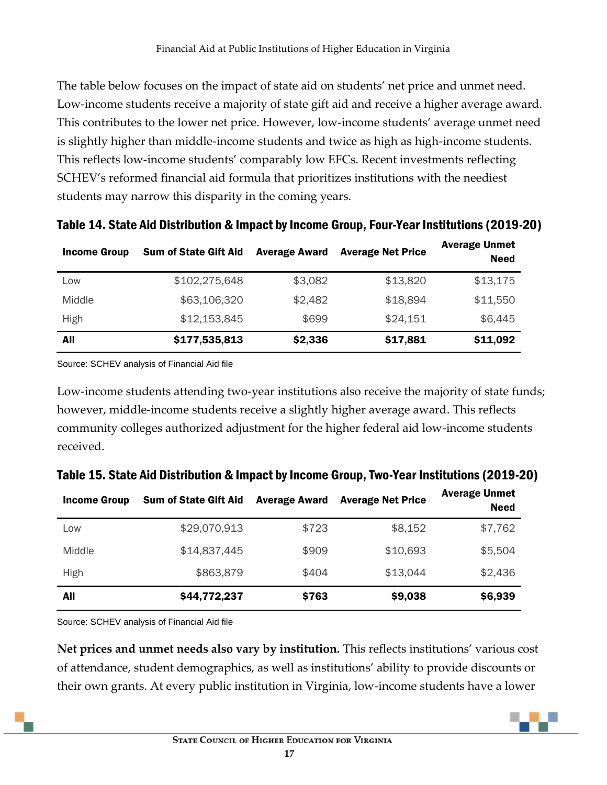The table below focuses on the impact of state aid on students' net price and unmet need. Low-income students receive a majority of state gift aid and receive a higher average award. This contributes to the lower net price. However, low-income students' average unmet need is slightly higher than middle-income students and twice as high as high-income students. This reflects low-income students' comparably low EFCs. Recent investments reflecting SCHEV's reformed financial aid formula that prioritizes institutions with the neediest students may narrow this disparity in the coming years.

| <b>Income Group</b> | <b>Sum of State Gift Aid</b> | <b>Average Award</b> | <b>Average Net Price</b> | <b>Average Unmet</b><br><b>Need</b> |
|---------------------|------------------------------|----------------------|--------------------------|-------------------------------------|
| Low                 | \$102,275,648                | \$3,082              | \$13,820                 | \$13,175                            |
| Middle              | \$63,106,320                 | \$2,482              | \$18,894                 | \$11,550                            |
| High                | \$12,153,845                 | \$699                | \$24,151                 | \$6,445                             |
| All                 | \$177,535,813                | \$2,336              | \$17,881                 | \$11,092                            |

Table 14. State Aid Distribution & Impact by Income Group, Four-Year Institutions (2019-20)

Source: SCHEV analysis of Financial Aid file

Low-income students attending two-year institutions also receive the majority of state funds; however, middle-income students receive a slightly higher average award. This reflects community colleges authorized adjustment for the higher federal aid low-income students received.

| <b>Income Group</b> | <b>Sum of State Gift Aid</b> | <b>Average Award</b> | <b>Average Net Price</b> | <b>Average Unmet</b><br><b>Need</b> |
|---------------------|------------------------------|----------------------|--------------------------|-------------------------------------|
| Low                 | \$29,070,913                 | \$723                | \$8,152                  | \$7,762                             |
| Middle              | \$14,837,445                 | \$909                | \$10,693                 | \$5,504                             |
| <b>High</b>         | \$863,879                    | \$404                | \$13,044                 | \$2,436                             |
| All                 | \$44,772,237                 | \$763                | \$9,038                  | \$6,939                             |

Table 15. State Aid Distribution & Impact by Income Group, Two-Year Institutions (2019-20)

Source: SCHEV analysis of Financial Aid file

**Net prices and unmet needs also vary by institution.** This reflects institutions' various cost of attendance, student demographics, as well as institutions' ability to provide discounts or their own grants. At every public institution in Virginia, low-income students have a lower

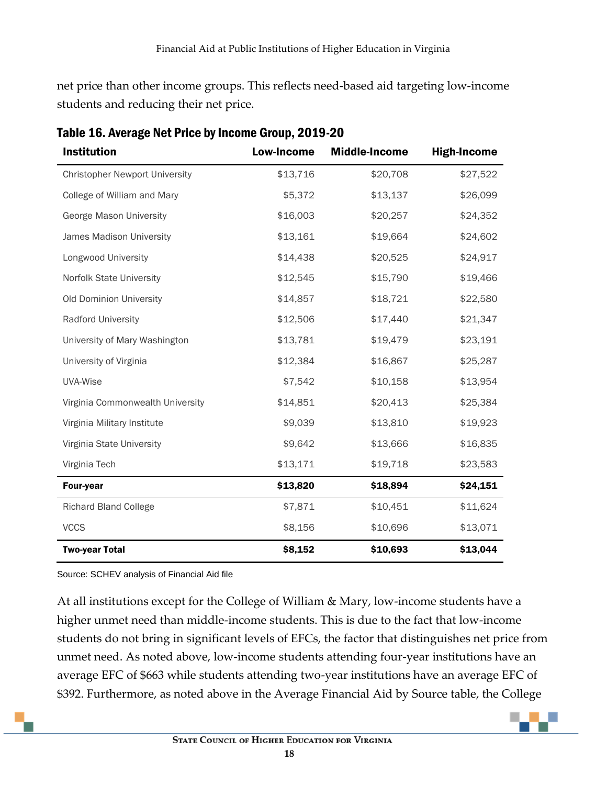net price than other income groups. This reflects need-based aid targeting low-income students and reducing their net price.

| <b>Institution</b>                    | <b>Low-Income</b> | <b>Middle-Income</b> | <b>High-Income</b> |
|---------------------------------------|-------------------|----------------------|--------------------|
| <b>Christopher Newport University</b> | \$13,716          | \$20,708             | \$27,522           |
| College of William and Mary           | \$5,372           | \$13,137             | \$26,099           |
| George Mason University               | \$16,003          | \$20,257             | \$24,352           |
| James Madison University              | \$13,161          | \$19,664             | \$24,602           |
| Longwood University                   | \$14,438          | \$20,525             | \$24,917           |
| Norfolk State University              | \$12,545          | \$15,790             | \$19,466           |
| Old Dominion University               | \$14,857          | \$18,721             | \$22,580           |
| Radford University                    | \$12,506          | \$17,440             | \$21,347           |
| University of Mary Washington         | \$13,781          | \$19,479             | \$23,191           |
| University of Virginia                | \$12,384          | \$16,867             | \$25,287           |
| UVA-Wise                              | \$7,542           | \$10,158             | \$13,954           |
| Virginia Commonwealth University      | \$14,851          | \$20,413             | \$25,384           |
| Virginia Military Institute           | \$9,039           | \$13,810             | \$19,923           |
| Virginia State University             | \$9,642           | \$13,666             | \$16,835           |
| Virginia Tech                         | \$13,171          | \$19,718             | \$23,583           |
| <b>Four-year</b>                      | \$13,820          | \$18,894             | \$24,151           |
| <b>Richard Bland College</b>          | \$7,871           | \$10,451             | \$11,624           |
| <b>VCCS</b>                           | \$8,156           | \$10,696             | \$13,071           |
| <b>Two-year Total</b>                 | \$8,152           | \$10,693             | \$13,044           |

Table 16. Average Net Price by Income Group, 2019-20

Source: SCHEV analysis of Financial Aid file

At all institutions except for the College of William & Mary, low-income students have a higher unmet need than middle-income students. This is due to the fact that low-income students do not bring in significant levels of EFCs, the factor that distinguishes net price from unmet need. As noted above, low-income students attending four-year institutions have an average EFC of \$663 while students attending two-year institutions have an average EFC of \$392. Furthermore, as noted above in the Average Financial Aid by Source table, the College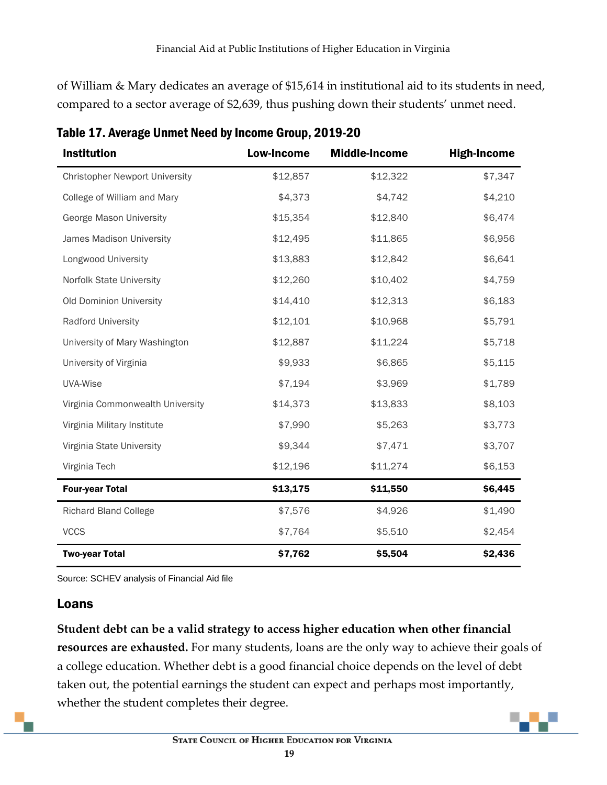of William & Mary dedicates an average of \$15,614 in institutional aid to its students in need, compared to a sector average of \$2,639, thus pushing down their students' unmet need.

| <b>Institution</b>                    | <b>Low-Income</b> | <b>Middle-Income</b> | <b>High-Income</b> |
|---------------------------------------|-------------------|----------------------|--------------------|
| <b>Christopher Newport University</b> | \$12,857          | \$12,322             | \$7,347            |
| College of William and Mary           | \$4,373           | \$4,742              | \$4,210            |
| George Mason University               | \$15,354          | \$12,840             | \$6,474            |
| James Madison University              | \$12,495          | \$11,865             | \$6,956            |
| Longwood University                   | \$13,883          | \$12,842             | \$6,641            |
| Norfolk State University              | \$12,260          | \$10,402             | \$4,759            |
| Old Dominion University               | \$14,410          | \$12,313             | \$6,183            |
| Radford University                    | \$12,101          | \$10,968             | \$5,791            |
| University of Mary Washington         | \$12,887          | \$11,224             | \$5,718            |
| University of Virginia                | \$9,933           | \$6,865              | \$5,115            |
| UVA-Wise                              | \$7,194           | \$3,969              | \$1,789            |
| Virginia Commonwealth University      | \$14,373          | \$13,833             | \$8,103            |
| Virginia Military Institute           | \$7,990           | \$5,263              | \$3,773            |
| Virginia State University             | \$9,344           | \$7,471              | \$3,707            |
| Virginia Tech                         | \$12,196          | \$11,274             | \$6,153            |
| <b>Four-year Total</b>                | \$13,175          | \$11,550             | \$6,445            |
| <b>Richard Bland College</b>          | \$7,576           | \$4,926              | \$1,490            |
| <b>VCCS</b>                           | \$7,764           | \$5,510              | \$2,454            |
| <b>Two-year Total</b>                 | \$7,762           | \$5,504              | \$2,436            |

Table 17. Average Unmet Need by Income Group, 2019-20

Source: SCHEV analysis of Financial Aid file

#### <span id="page-20-0"></span>Loans

**Student debt can be a valid strategy to access higher education when other financial resources are exhausted.** For many students, loans are the only way to achieve their goals of a college education. Whether debt is a good financial choice depends on the level of debt taken out, the potential earnings the student can expect and perhaps most importantly, whether the student completes their degree.

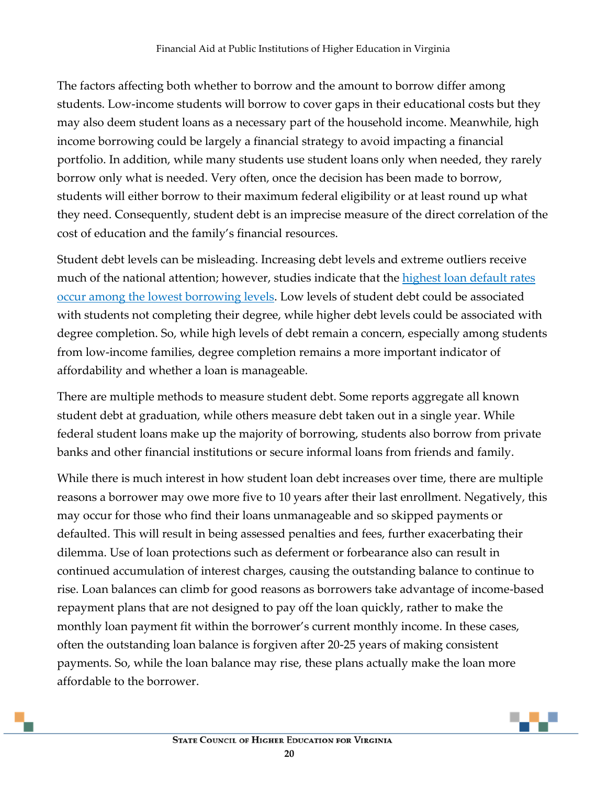The factors affecting both whether to borrow and the amount to borrow differ among students. Low-income students will borrow to cover gaps in their educational costs but they may also deem student loans as a necessary part of the household income. Meanwhile, high income borrowing could be largely a financial strategy to avoid impacting a financial portfolio. In addition, while many students use student loans only when needed, they rarely borrow only what is needed. Very often, once the decision has been made to borrow, students will either borrow to their maximum federal eligibility or at least round up what they need. Consequently, student debt is an imprecise measure of the direct correlation of the cost of education and the family's financial resources.

Student debt levels can be misleading. Increasing debt levels and extreme outliers receive much of the national attention; however, studies indicate that the highest loan default rates [occur among the lowest borrowing levels.](https://libertystreeteconomics.newyorkfed.org/2015/02/looking_at_student_loan_defaults_through_a_larger_window/) Low levels of student debt could be associated with students not completing their degree, while higher debt levels could be associated with degree completion. So, while high levels of debt remain a concern, especially among students from low-income families, degree completion remains a more important indicator of affordability and whether a loan is manageable.

There are multiple methods to measure student debt. Some reports aggregate all known student debt at graduation, while others measure debt taken out in a single year. While federal student loans make up the majority of borrowing, students also borrow from private banks and other financial institutions or secure informal loans from friends and family.

While there is much interest in how student loan debt increases over time, there are multiple reasons a borrower may owe more five to 10 years after their last enrollment. Negatively, this may occur for those who find their loans unmanageable and so skipped payments or defaulted. This will result in being assessed penalties and fees, further exacerbating their dilemma. Use of loan protections such as deferment or forbearance also can result in continued accumulation of interest charges, causing the outstanding balance to continue to rise. Loan balances can climb for good reasons as borrowers take advantage of income-based repayment plans that are not designed to pay off the loan quickly, rather to make the monthly loan payment fit within the borrower's current monthly income. In these cases, often the outstanding loan balance is forgiven after 20-25 years of making consistent payments. So, while the loan balance may rise, these plans actually make the loan more affordable to the borrower.

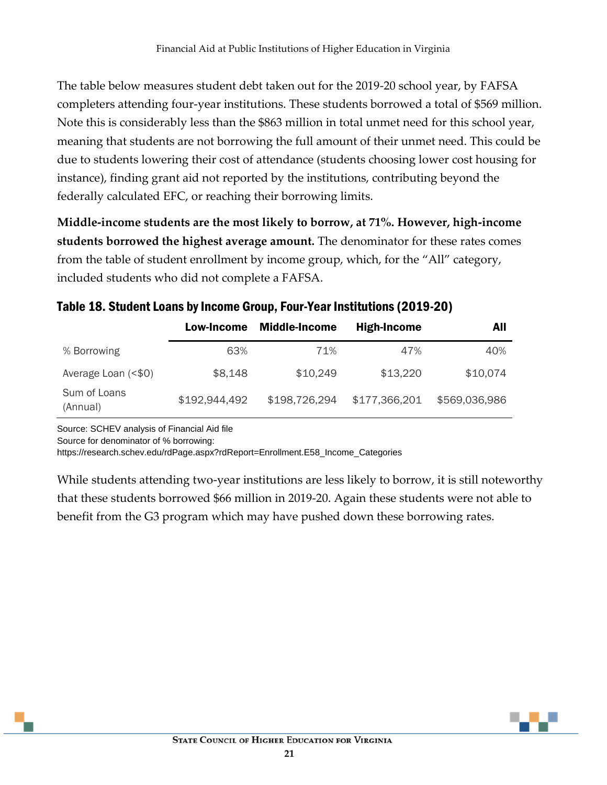The table below measures student debt taken out for the 2019-20 school year, by FAFSA completers attending four-year institutions. These students borrowed a total of \$569 million. Note this is considerably less than the \$863 million in total unmet need for this school year, meaning that students are not borrowing the full amount of their unmet need. This could be due to students lowering their cost of attendance (students choosing lower cost housing for instance), finding grant aid not reported by the institutions, contributing beyond the federally calculated EFC, or reaching their borrowing limits.

**Middle-income students are the most likely to borrow, at 71%. However, high-income students borrowed the highest average amount.** The denominator for these rates comes from the table of student enrollment by income group, which, for the "All" category, included students who did not complete a FAFSA.

|                          | Low-Income    | <b>Middle-Income</b> | <b>High-Income</b> | All           |
|--------------------------|---------------|----------------------|--------------------|---------------|
| % Borrowing              | 63%           | 71%                  | 47%                | 40%           |
| Average Loan (<\$0)      | \$8,148       | \$10,249             | \$13,220           | \$10,074      |
| Sum of Loans<br>(Annual) | \$192,944,492 | \$198,726,294        | \$177,366,201      | \$569,036,986 |

#### Table 18. Student Loans by Income Group, Four-Year Institutions (2019-20)

Source: SCHEV analysis of Financial Aid file

Source for denominator of % borrowing:

https://research.schev.edu/rdPage.aspx?rdReport=Enrollment.E58\_Income\_Categories

While students attending two-year institutions are less likely to borrow, it is still noteworthy that these students borrowed \$66 million in 2019-20. Again these students were not able to benefit from the G3 program which may have pushed down these borrowing rates.

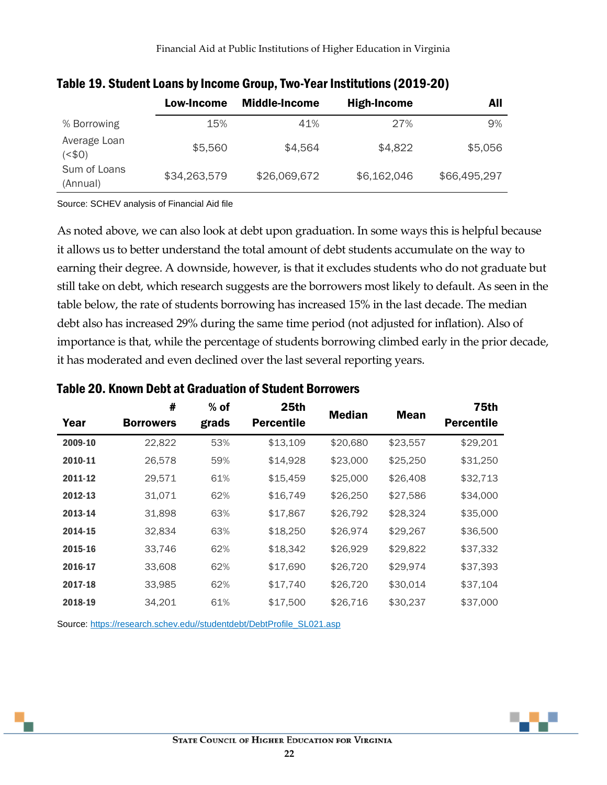|                          | Low-Income   | <b>Middle-Income</b> | High-Income | All          |
|--------------------------|--------------|----------------------|-------------|--------------|
| % Borrowing              | 15%          | 41%                  | 27%         | 9%           |
| Average Loan<br>(50)     | \$5,560      | \$4,564              | \$4,822     | \$5,056      |
| Sum of Loans<br>(Annual) | \$34,263,579 | \$26,069,672         | \$6,162,046 | \$66,495,297 |

#### Table 19. Student Loans by Income Group, Two-Year Institutions (2019-20)

Source: SCHEV analysis of Financial Aid file

As noted above, we can also look at debt upon graduation. In some ways this is helpful because it allows us to better understand the total amount of debt students accumulate on the way to earning their degree. A downside, however, is that it excludes students who do not graduate but still take on debt, which research suggests are the borrowers most likely to default. As seen in the table below, the rate of students borrowing has increased 15% in the last decade. The median debt also has increased 29% during the same time period (not adjusted for inflation). Also of importance is that, while the percentage of students borrowing climbed early in the prior decade, it has moderated and even declined over the last several reporting years.

| Year    | #<br><b>Borrowers</b> | $%$ of<br>grads | 25th<br><b>Percentile</b> | <b>Median</b> | <b>Mean</b> | <b>75th</b><br><b>Percentile</b> |
|---------|-----------------------|-----------------|---------------------------|---------------|-------------|----------------------------------|
| 2009-10 | 22,822                | 53%             | \$13,109                  | \$20,680      | \$23,557    | \$29,201                         |
| 2010-11 | 26,578                | 59%             | \$14,928                  | \$23,000      | \$25,250    | \$31,250                         |
| 2011-12 | 29,571                | 61%             | \$15,459                  | \$25,000      | \$26,408    | \$32,713                         |
| 2012-13 | 31,071                | 62%             | \$16,749                  | \$26,250      | \$27,586    | \$34,000                         |
| 2013-14 | 31,898                | 63%             | \$17,867                  | \$26,792      | \$28,324    | \$35,000                         |
| 2014-15 | 32,834                | 63%             | \$18,250                  | \$26,974      | \$29,267    | \$36,500                         |
| 2015-16 | 33,746                | 62%             | \$18,342                  | \$26,929      | \$29,822    | \$37,332                         |
| 2016-17 | 33,608                | 62%             | \$17,690                  | \$26,720      | \$29,974    | \$37,393                         |
| 2017-18 | 33,985                | 62%             | \$17,740                  | \$26,720      | \$30,014    | \$37,104                         |
| 2018-19 | 34,201                | 61%             | \$17,500                  | \$26,716      | \$30,237    | \$37,000                         |

#### Table 20. Known Debt at Graduation of Student Borrowers

Source: [https://research.schev.edu//studentdebt/DebtProfile\\_SL021.asp](https://research.schev.edu/studentdebt/DebtProfile_SL021.asp)

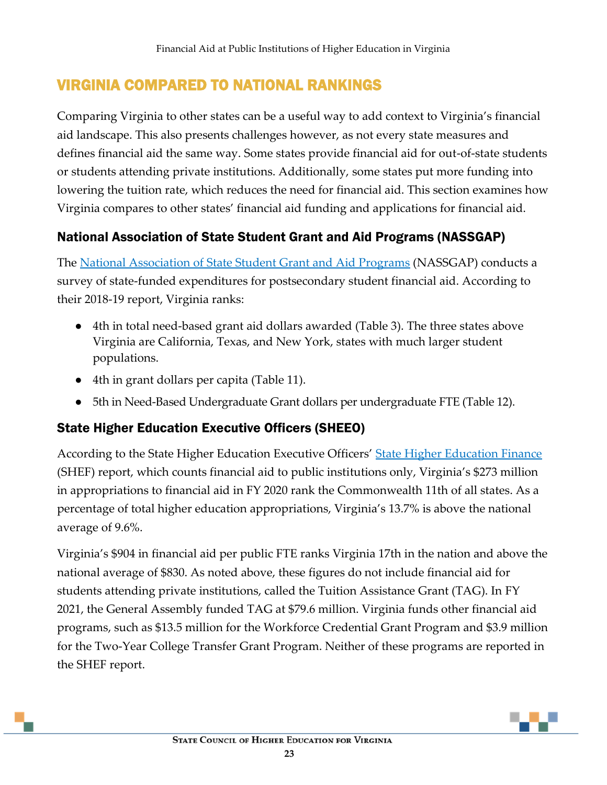## <span id="page-24-0"></span>VIRGINIA COMPARED TO NATIONAL RANKINGS

Comparing Virginia to other states can be a useful way to add context to Virginia's financial aid landscape. This also presents challenges however, as not every state measures and defines financial aid the same way. Some states provide financial aid for out-of-state students or students attending private institutions. Additionally, some states put more funding into lowering the tuition rate, which reduces the need for financial aid. This section examines how Virginia compares to other states' financial aid funding and applications for financial aid.

### <span id="page-24-1"></span>National Association of State Student Grant and Aid Programs (NASSGAP)

The [National Association of State Student Grant and Aid Programs](https://www.nassgapsurvey.com/) (NASSGAP) conducts a survey of state-funded expenditures for postsecondary student financial aid. According to their 2018-19 report, Virginia ranks:

- 4th in total need-based grant aid dollars awarded (Table 3). The three states above Virginia are California, Texas, and New York, states with much larger student populations.
- 4th in grant dollars per capita (Table 11).
- 5th in Need-Based Undergraduate Grant dollars per undergraduate FTE (Table 12).

## <span id="page-24-2"></span>State Higher Education Executive Officers (SHEEO)

According to the State Higher Education Executive Officers' [State Higher Education Finance](https://shef.sheeo.org/report/?report_page=distribution-of-revenue#financial-aid-share) (SHEF) report, which counts financial aid to public institutions only, Virginia's \$273 million in appropriations to financial aid in FY 2020 rank the Commonwealth 11th of all states. As a percentage of total higher education appropriations, Virginia's 13.7% is above the national average of 9.6%.

Virginia's \$904 in financial aid per public FTE ranks Virginia 17th in the nation and above the national average of \$830. As noted above, these figures do not include financial aid for students attending private institutions, called the Tuition Assistance Grant (TAG). In FY 2021, the General Assembly funded TAG at \$79.6 million. Virginia funds other financial aid programs, such as \$13.5 million for the Workforce Credential Grant Program and \$3.9 million for the Two-Year College Transfer Grant Program. Neither of these programs are reported in the SHEF report.

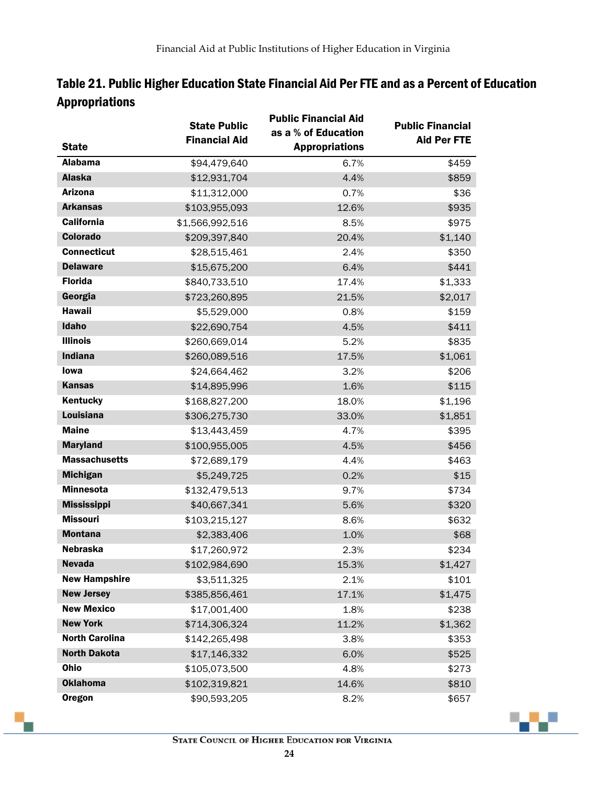|                       | <b>State Public</b><br><b>Financial Aid</b> | <b>Public Financial Aid</b><br>as a % of Education | <b>Public Financial</b><br><b>Aid Per FTE</b> |
|-----------------------|---------------------------------------------|----------------------------------------------------|-----------------------------------------------|
| <b>State</b>          |                                             | <b>Appropriations</b>                              |                                               |
| <b>Alabama</b>        | \$94,479,640                                | 6.7%                                               | \$459                                         |
| <b>Alaska</b>         | \$12,931,704                                | 4.4%                                               | \$859                                         |
| <b>Arizona</b>        | \$11,312,000                                | 0.7%                                               | \$36                                          |
| <b>Arkansas</b>       | \$103,955,093                               | 12.6%                                              | \$935                                         |
| <b>California</b>     | \$1,566,992,516                             | 8.5%                                               | \$975                                         |
| <b>Colorado</b>       | \$209,397,840                               | 20.4%                                              | \$1,140                                       |
| <b>Connecticut</b>    | \$28,515,461                                | 2.4%                                               | \$350                                         |
| <b>Delaware</b>       | \$15,675,200                                | 6.4%                                               | \$441                                         |
| <b>Florida</b>        | \$840,733,510                               | 17.4%                                              | \$1,333                                       |
| Georgia               | \$723,260,895                               | 21.5%                                              | \$2,017                                       |
| <b>Hawaii</b>         | \$5,529,000                                 | 0.8%                                               | \$159                                         |
| Idaho                 | \$22,690,754                                | 4.5%                                               | \$411                                         |
| <b>Illinois</b>       | \$260,669,014                               | 5.2%                                               | \$835                                         |
| <b>Indiana</b>        | \$260,089,516                               | 17.5%                                              | \$1,061                                       |
| <b>lowa</b>           | \$24,664,462                                | 3.2%                                               | \$206                                         |
| <b>Kansas</b>         | \$14,895,996                                | 1.6%                                               | \$115                                         |
| Kentucky              | \$168,827,200                               | 18.0%                                              | \$1,196                                       |
| <b>Louisiana</b>      | \$306,275,730                               | 33.0%                                              | \$1,851                                       |
| <b>Maine</b>          | \$13,443,459                                | 4.7%                                               | \$395                                         |
| <b>Maryland</b>       | \$100,955,005                               | 4.5%                                               | \$456                                         |
| <b>Massachusetts</b>  | \$72,689,179                                | 4.4%                                               | \$463                                         |
| <b>Michigan</b>       | \$5,249,725                                 | 0.2%                                               | \$15                                          |
| <b>Minnesota</b>      | \$132,479,513                               | 9.7%                                               | \$734                                         |
| <b>Mississippi</b>    | \$40,667,341                                | 5.6%                                               | \$320                                         |
| <b>Missouri</b>       | \$103,215,127                               | 8.6%                                               | \$632                                         |
| <b>Montana</b>        | \$2,383,406                                 | 1.0%                                               | \$68                                          |
| <b>Nebraska</b>       | \$17,260,972                                | 2.3%                                               | \$234                                         |
| <b>Nevada</b>         | \$102,984,690                               | 15.3%                                              | \$1,427                                       |
| <b>New Hampshire</b>  | \$3,511,325                                 | 2.1%                                               | \$101                                         |
| <b>New Jersey</b>     | \$385,856,461                               | 17.1%                                              | \$1,475                                       |
| <b>New Mexico</b>     | \$17,001,400                                | 1.8%                                               | \$238                                         |
| <b>New York</b>       | \$714,306,324                               | 11.2%                                              | \$1,362                                       |
| <b>North Carolina</b> | \$142,265,498                               | 3.8%                                               | \$353                                         |
| <b>North Dakota</b>   | \$17,146,332                                | 6.0%                                               | \$525                                         |
| Ohio                  | \$105,073,500                               | 4.8%                                               | \$273                                         |
| <b>Oklahoma</b>       | \$102,319,821                               | 14.6%                                              | \$810                                         |
| <b>Oregon</b>         | \$90,593,205                                | 8.2%                                               | \$657                                         |

Table 21. Public Higher Education State Financial Aid Per FTE and as a Percent of Education Appropriations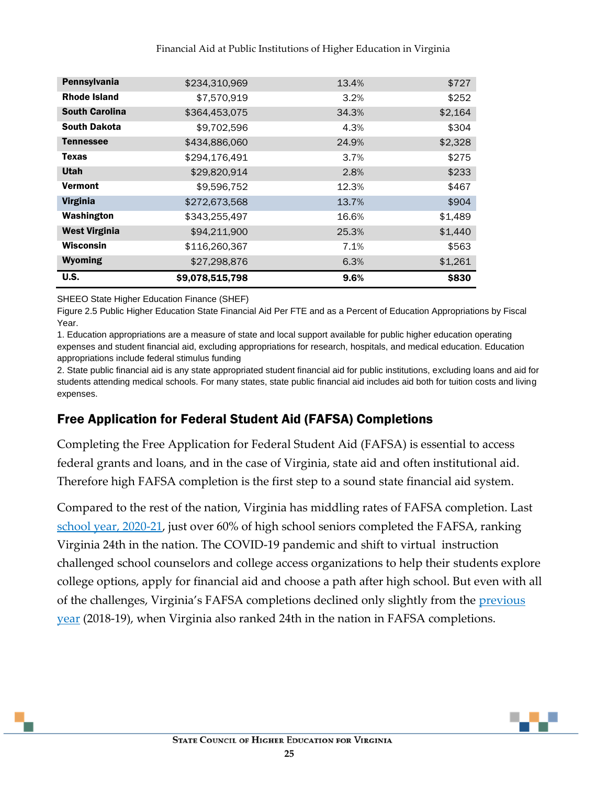#### Financial Aid at Public Institutions of Higher Education in Virginia

| Pennsylvania          | \$234,310,969   | 13.4% | \$727   |
|-----------------------|-----------------|-------|---------|
| <b>Rhode Island</b>   | \$7,570,919     | 3.2%  | \$252   |
| <b>South Carolina</b> | \$364,453,075   | 34.3% | \$2,164 |
| <b>South Dakota</b>   | \$9,702,596     | 4.3%  | \$304   |
| <b>Tennessee</b>      | \$434,886,060   | 24.9% | \$2,328 |
| Texas                 | \$294.176.491   | 3.7%  | \$275   |
| <b>Utah</b>           | \$29,820,914    | 2.8%  | \$233   |
| <b>Vermont</b>        | \$9,596,752     | 12.3% | \$467   |
| <b>Virginia</b>       | \$272,673,568   | 13.7% | \$904   |
| Washington            | \$343,255,497   | 16.6% | \$1,489 |
| <b>West Virginia</b>  | \$94,211,900    | 25.3% | \$1,440 |
| Wisconsin             | \$116,260,367   | 7.1%  | \$563   |
| <b>Wyoming</b>        | \$27,298,876    | 6.3%  | \$1,261 |
| <b>U.S.</b>           | \$9,078,515,798 | 9.6%  | \$830   |

SHEEO State Higher Education Finance (SHEF)

Figure 2.5 Public Higher Education State Financial Aid Per FTE and as a Percent of Education Appropriations by Fiscal Year.

1. Education appropriations are a measure of state and local support available for public higher education operating expenses and student financial aid, excluding appropriations for research, hospitals, and medical education. Education appropriations include federal stimulus funding

2. State public financial aid is any state appropriated student financial aid for public institutions, excluding loans and aid for students attending medical schools. For many states, state public financial aid includes aid both for tuition costs and living expenses.

#### <span id="page-26-0"></span>Free Application for Federal Student Aid (FAFSA) Completions

Completing the Free Application for Federal Student Aid (FAFSA) is essential to access federal grants and loans, and in the case of Virginia, state aid and often institutional aid. Therefore high FAFSA completion is the first step to a sound state financial aid system.

Compared to the rest of the nation, Virginia has middling rates of FAFSA completion. Last [school year, 2020-21,](https://public.tableau.com/app/profile/bill.debaun.national.college.access.network/viz/FormYourFutureFAFSATracker-2020-21FAFSACycleThroughSeptember112020/CurrentWeekRanking) just over 60% of high school seniors completed the FAFSA, ranking Virginia 24th in the nation. The COVID-19 pandemic and shift to virtual instruction challenged school counselors and college access organizations to help their students explore college options, apply for financial aid and choose a path after high school. But even with all of the challenges, Virginia's FAFSA completions declined only slightly from the [previous](https://public.tableau.com/app/profile/bill.debaun.national.college.access.network/viz/FormYourFutureFAFSATracker-2019-20FAFSACycleThroughAugust232019/CurrentWeekRanking)  [year](https://public.tableau.com/app/profile/bill.debaun.national.college.access.network/viz/FormYourFutureFAFSATracker-2019-20FAFSACycleThroughAugust232019/CurrentWeekRanking) (2018-19), when Virginia also ranked 24th in the nation in FAFSA completions.

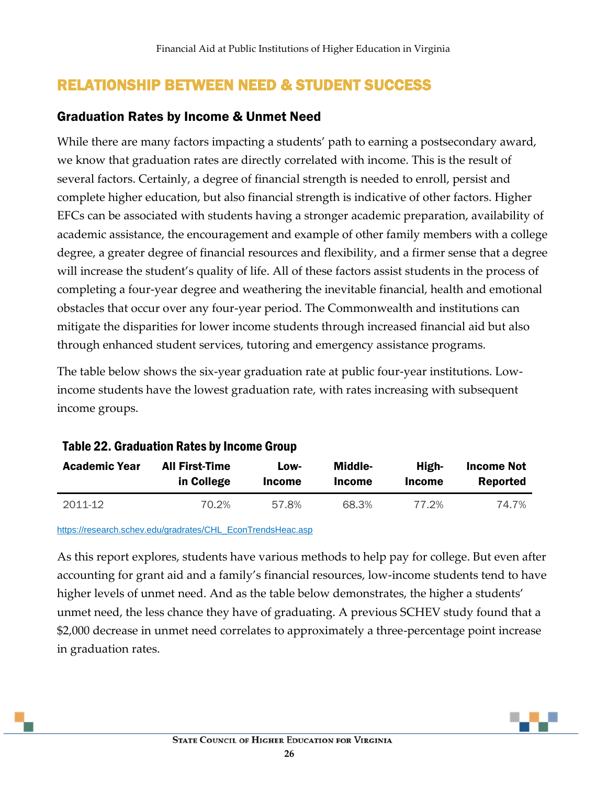## <span id="page-27-0"></span>RELATIONSHIP BETWEEN NEED & STUDENT SUCCESS

#### <span id="page-27-1"></span>Graduation Rates by Income & Unmet Need

While there are many factors impacting a students' path to earning a postsecondary award, we know that graduation rates are directly correlated with income. This is the result of several factors. Certainly, a degree of financial strength is needed to enroll, persist and complete higher education, but also financial strength is indicative of other factors. Higher EFCs can be associated with students having a stronger academic preparation, availability of academic assistance, the encouragement and example of other family members with a college degree, a greater degree of financial resources and flexibility, and a firmer sense that a degree will increase the student's quality of life. All of these factors assist students in the process of completing a four-year degree and weathering the inevitable financial, health and emotional obstacles that occur over any four-year period. The Commonwealth and institutions can mitigate the disparities for lower income students through increased financial aid but also through enhanced student services, tutoring and emergency assistance programs.

The table below shows the six-year graduation rate at public four-year institutions. Lowincome students have the lowest graduation rate, with rates increasing with subsequent income groups.

| <b>Academic Year</b> | <b>All First-Time</b> | Low-          | <b>Middle-</b> | High-         | <b>Income Not</b> |
|----------------------|-----------------------|---------------|----------------|---------------|-------------------|
|                      | in College            | <b>Income</b> | <b>Income</b>  | <b>Income</b> | Reported          |
| 2011-12              | 70.2%                 | 57.8%         | 68.3%          | 77.2%         | 74.7%             |

#### Table 22. Graduation Rates by Income Group

[https://research.schev.edu/gradrates/CHL\\_EconTrendsHeac.asp](https://research.schev.edu/gradrates/CHL_EconTrendsHeac.asp)

As this report explores, students have various methods to help pay for college. But even after accounting for grant aid and a family's financial resources, low-income students tend to have higher levels of unmet need. And as the table below demonstrates, the higher a students' unmet need, the less chance they have of graduating. A previous SCHEV study found that a \$2,000 decrease in unmet need correlates to approximately a three-percentage point increase in graduation rates.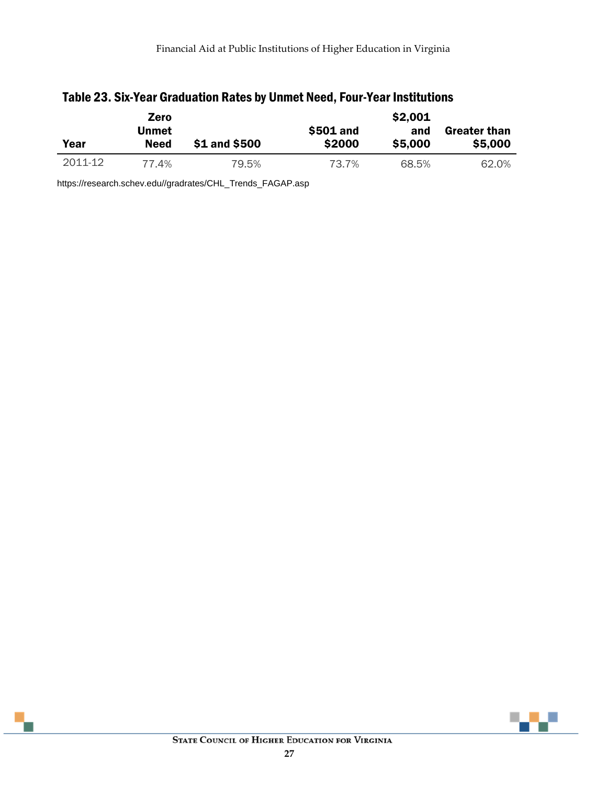|         | Zero         |               |           | \$2,001 |                     |
|---------|--------------|---------------|-----------|---------|---------------------|
|         | <b>Unmet</b> |               | \$501 and | and     | <b>Greater than</b> |
| Year    | <b>Need</b>  | \$1 and \$500 | \$2000    | \$5,000 | \$5,000             |
| 2011-12 | 77.4%        | 79.5%         | 73.7%     | 68.5%   | 62.0%               |

#### Table 23. Six-Year Graduation Rates by Unmet Need, Four-Year Institutions

https://research.schev.edu//gradrates/CHL\_Trends\_FAGAP.asp